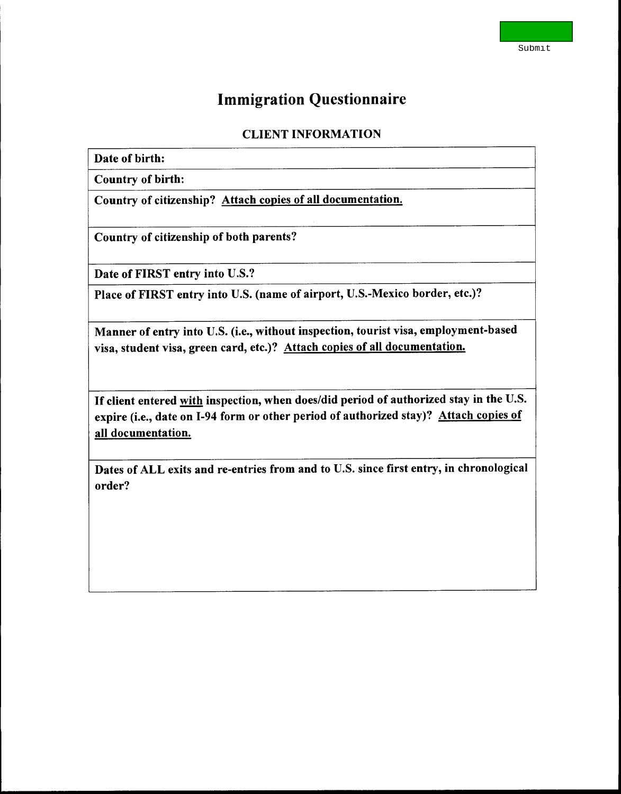## **Immigration Questionnaire**

## **CLIENT INFORMATION**

## **Date of birth:**

**Country of birth:** 

**Country of citizenship? Attach copies of all documentation.** 

**Country of citizenship of both parents?** 

**Date of FIRST entry into U.S.?** 

**Place of FIRST entry into U.S. (name of airport, U.S.-Mexico border, etc.)?** 

**Manner of entry into U.S. (i.e., without inspection, tourist visa, employment-based visa, student visa, green card, etc.)? Attach copies of all documentation.** 

**If client entered with inspection, when does/did period of authorized stay in the U.S. expire (i.e., date on 1-94 form or other period of authorized stay)? Attach copies of all documentation.** 

**Dates of ALL exits and re-entries from and to U.S. since first entry, in chronological order?**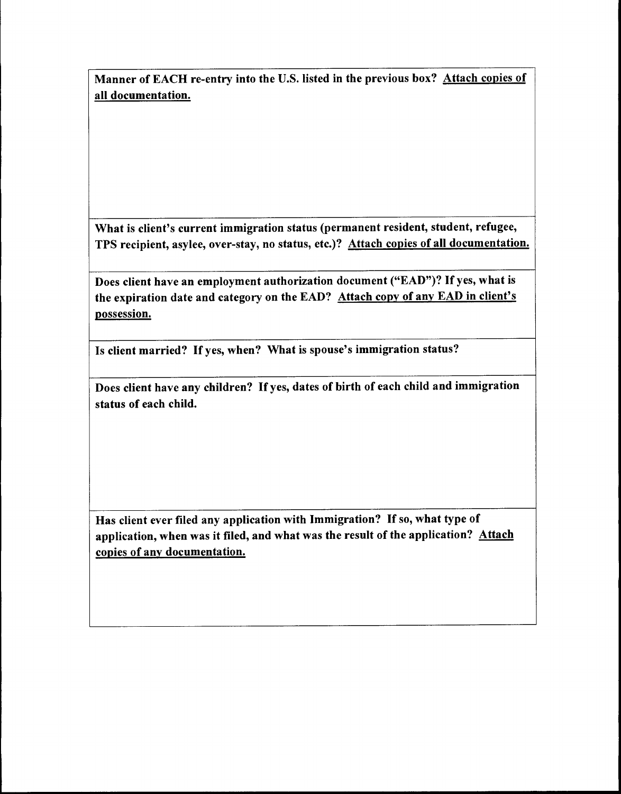**Manner of EACH re-entry into the U.S. listed in the previous box? Attach copies of all documentation.** 

**What is client's current immigration status (permanent resident, student, refugee, TPS recipient, asylee, over-stay, no status, etc.)? Attach copies of all documentation.** 

**Does client have an employment authorization document ("EAD")? If yes, what is the expiration date and category on the EAD? Attach copy of any EAD in client's**  possession.

**Is client married? If yes, when? What is spouse's immigration status?** 

**Does client have any children? If yes, dates of birth of each child and immigration status of each child.** 

**Has client ever filed any application with Immigration? If so, what type of application, when was it filed, and what was the result of the application? Attach copies of any documentation.**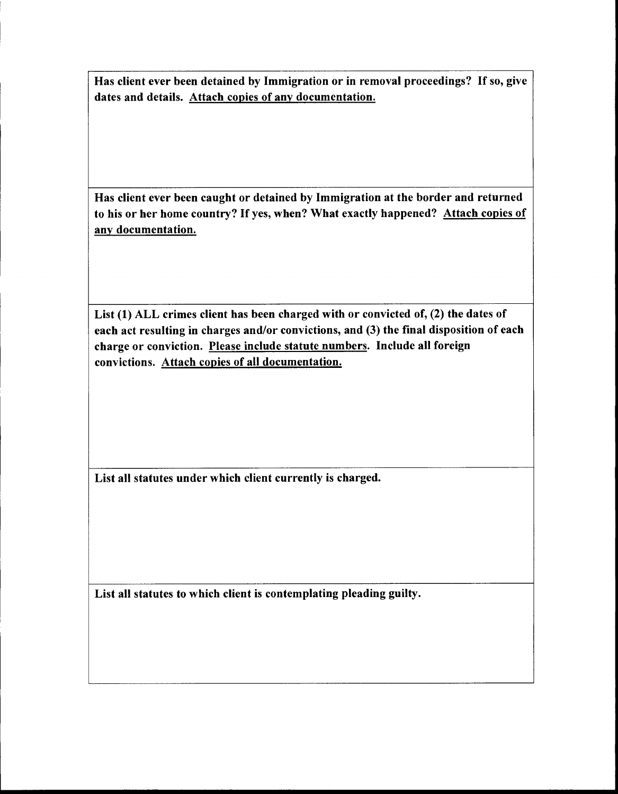**Has client ever been detained by Immigration or in removal proceedings? If so, give dates and details. Attach copies of any documentation.** 

**Has client ever been caught or detained by Immigration at the border and returned to his or her home country? If yes, when? What exactly happened? Attach copies of any documentation.** 

**List (1) ALL crimes client has been charged with or convicted of, (2) the dates of each act resulting in charges and/or convictions, and (3) the final disposition of each charge or conviction. Please include statute numbers. Include all foreign convictions. Attach copies of all documentation.** 

**List all statutes under which client currently is charged.** 

**List all statutes to which client is contemplating pleading guilty.**